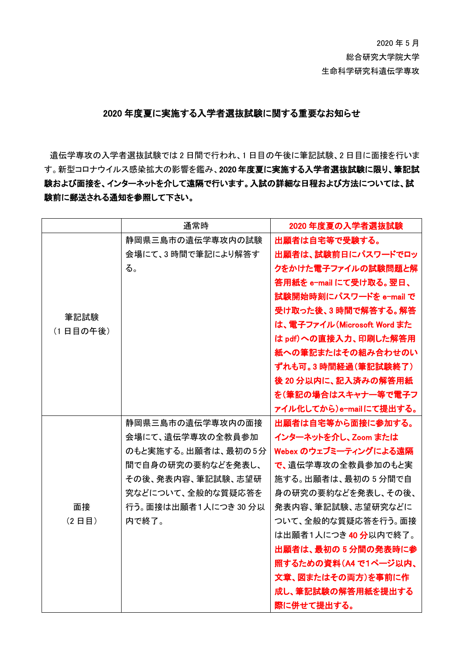2020 年 5 月 総合研究大学院大学 生命科学研究科遺伝学専攻

## 2020 年度夏に実施する入学者選抜試験に関する重要なお知らせ

遺伝学専攻の入学者選抜試験では 2 日間で行われ、1 日目の午後に筆記試験、2 日目に面接を行いま す。新型コロナウイルス感染拡大の影響を鑑み、2020 年度夏に実施する入学者選抜試験に限り、筆記試 験および面接を、インターネットを介して遠隔で行います。入試の詳細な日程および方法については、試 験前に郵送される通知を参照して下さい。

|                  | 通常時                  | 2020年度夏の入学者選抜試験             |
|------------------|----------------------|-----------------------------|
| 筆記試験<br>(1日目の午後) | 静岡県三島市の遺伝学専攻内の試験     | 出願者は自宅等で受験する。               |
|                  | 会場にて、3時間で筆記により解答す    | 出願者は、試験前日にパスワードでロッ          |
|                  | る。                   | クをかけた電子ファイルの試験問題と解          |
|                  |                      | 答用紙を e-mail にて受け取る。翌日、      |
|                  |                      | 試験開始時刻にパスワードを e-mail で      |
|                  |                      | 受け取った後、3時間で解答する。解答          |
|                  |                      | は、電子ファイル (Microsoft Word また |
|                  |                      | は pdf)への直接入力、印刷した解答用        |
|                  |                      | 紙への筆記またはその組み合わせのい           |
|                  |                      | ずれも可。3 時間経過(筆記試験終了)         |
|                  |                      | 後 20 分以内に、記入済みの解答用紙         |
|                  |                      | を(筆記の場合はスキャナ一等で電子フ          |
|                  |                      | ァイル化してから)e-mailにて提出する。      |
|                  | 静岡県三島市の遺伝学専攻内の面接     | 出願者は自宅等から面接に参加する。           |
|                  | 会場にて、遺伝学専攻の全教員参加     | インターネットを介し、Zoom または         |
|                  | のもと実施する。出願者は、最初の5分   | Webex のウェブミーティングによる遠隔       |
|                  | 間で自身の研究の要約などを発表し、    | で、遺伝学専攻の全教員参加のもと実           |
|                  | その後、発表内容、筆記試験、志望研    | 施する。出願者は、最初の5分間で自           |
|                  | 究などについて、全般的な質疑応答を    | 身の研究の要約などを発表し、その後、          |
| 面接               | 行う。面接は出願者1人につき 30 分以 | 発表内容、筆記試験、志望研究などに           |
| $(2$ 日目          | 内で終了。                | ついて、全般的な質疑応答を行う。面接          |
|                  |                      | は出願者1人につき 40 分以内で終了。        |
|                  |                      | 出願者は、最初の5分間の発表時に参           |
|                  |                      | 照するための資料(A4 で1ページ以内、        |
|                  |                      | 文章、図またはその両方)を事前に作           |
|                  |                      | 成し、筆記試験の解答用紙を提出する           |
|                  |                      | 際に併せて提出する。                  |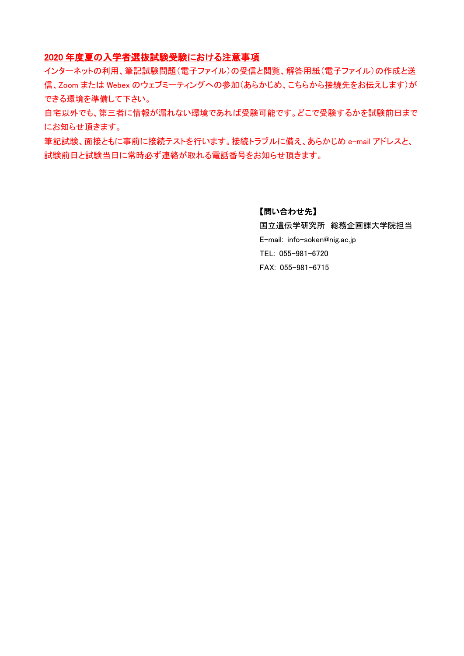## 2020 年度夏の入学者選抜試験受験における注意事項

インターネットの利用、筆記試験問題(電子ファイル)の受信と閲覧、解答用紙(電子ファイル)の作成と送 信、Zoom または Webex のウェブミーティングへの参加(あらかじめ、こちらから接続先をお伝えします)が できる環境を準備して下さい。

自宅以外でも、第三者に情報が漏れない環境であれば受験可能です。どこで受験するかを試験前日まで にお知らせ頂きます。

筆記試験、面接ともに事前に接続テストを行います。接続トラブルに備え、あらかじめ e-mail アドレスと、 試験前日と試験当日に常時必ず連絡が取れる電話番号をお知らせ頂きます。

### 【問い合わせ先】

国立遺伝学研究所 総務企画課大学院担当 E-mail: info-soken@nig.ac.jp TEL: 055-981-6720 FAX: 055-981-6715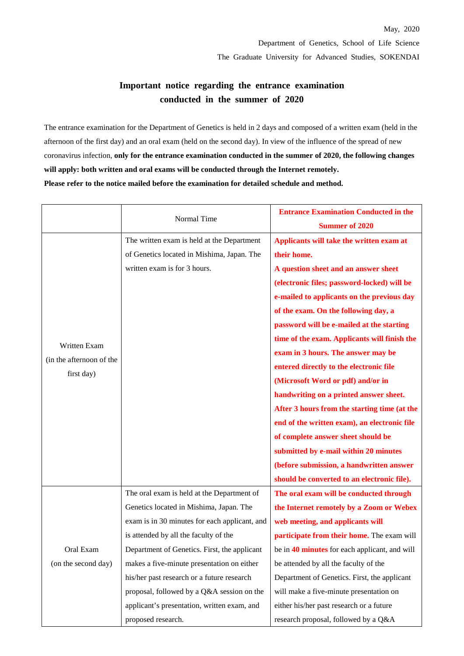# **Important notice regarding the entrance examination conducted in the summer of 2020**

The entrance examination for the Department of Genetics is held in 2 days and composed of a written exam (held in the afternoon of the first day) and an oral exam (held on the second day). In view of the influence of the spread of new coronavirus infection, **only for the entrance examination conducted in the summer of 2020, the following changes will apply: both written and oral exams will be conducted through the Internet remotely. Please refer to the notice mailed before the examination for detailed schedule and method.**

|                                                        | Normal Time                                   | <b>Entrance Examination Conducted in the</b>  |
|--------------------------------------------------------|-----------------------------------------------|-----------------------------------------------|
|                                                        |                                               | <b>Summer of 2020</b>                         |
| Written Exam<br>(in the afternoon of the<br>first day) | The written exam is held at the Department    | Applicants will take the written exam at      |
|                                                        | of Genetics located in Mishima, Japan. The    | their home.                                   |
|                                                        | written exam is for 3 hours.                  | A question sheet and an answer sheet          |
|                                                        |                                               | (electronic files; password-locked) will be   |
|                                                        |                                               | e-mailed to applicants on the previous day    |
|                                                        |                                               | of the exam. On the following day, a          |
|                                                        |                                               | password will be e-mailed at the starting     |
|                                                        |                                               | time of the exam. Applicants will finish the  |
|                                                        |                                               | exam in 3 hours. The answer may be            |
|                                                        |                                               | entered directly to the electronic file       |
|                                                        |                                               | (Microsoft Word or pdf) and/or in             |
|                                                        |                                               | handwriting on a printed answer sheet.        |
|                                                        |                                               | After 3 hours from the starting time (at the  |
|                                                        |                                               | end of the written exam), an electronic file  |
|                                                        |                                               | of complete answer sheet should be            |
|                                                        |                                               | submitted by e-mail within 20 minutes         |
|                                                        |                                               | (before submission, a handwritten answer      |
|                                                        |                                               | should be converted to an electronic file).   |
| Oral Exam<br>(on the second day)                       | The oral exam is held at the Department of    | The oral exam will be conducted through       |
|                                                        | Genetics located in Mishima, Japan. The       | the Internet remotely by a Zoom or Webex      |
|                                                        | exam is in 30 minutes for each applicant, and | web meeting, and applicants will              |
|                                                        | is attended by all the faculty of the         | participate from their home. The exam will    |
|                                                        | Department of Genetics. First, the applicant  | be in 40 minutes for each applicant, and will |
|                                                        | makes a five-minute presentation on either    | be attended by all the faculty of the         |
|                                                        | his/her past research or a future research    | Department of Genetics. First, the applicant  |
|                                                        | proposal, followed by a Q&A session on the    | will make a five-minute presentation on       |
|                                                        | applicant's presentation, written exam, and   | either his/her past research or a future      |
|                                                        | proposed research.                            | research proposal, followed by a Q&A          |